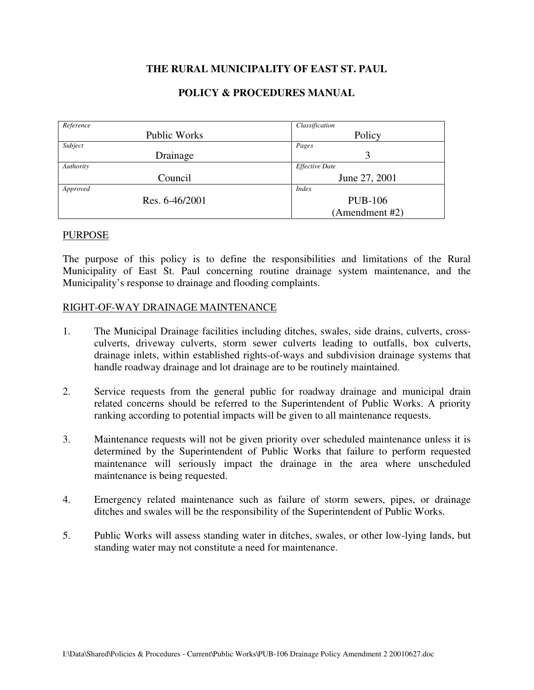# **THE RURAL MUNICIPALITY OF EAST ST. PAUL**

### **POLICY & PROCEDURES MANUAL**

| Reference |                     | Classification        |
|-----------|---------------------|-----------------------|
|           | <b>Public Works</b> | Policy                |
| Subject   |                     | Pages                 |
|           | Drainage            | 3                     |
| Authority |                     | <b>Effective Date</b> |
|           | Council             | June 27, 2001         |
| Approved  |                     | <i>Index</i>          |
|           | Res. 6-46/2001      | <b>PUB-106</b>        |
|           |                     | (Amendment #2)        |

#### PURPOSE

The purpose of this policy is to define the responsibilities and limitations of the Rural Municipality of East St. Paul concerning routine drainage system maintenance, and the Municipality's response to drainage and flooding complaints.

#### RIGHT-OF-WAY DRAINAGE MAINTENANCE

- 1. The Municipal Drainage facilities including ditches, swales, side drains, culverts, crossculverts, driveway culverts, storm sewer culverts leading to outfalls, box culverts, drainage inlets, within established rights-of-ways and subdivision drainage systems that handle roadway drainage and lot drainage are to be routinely maintained.
- 2. Service requests from the general public for roadway drainage and municipal drain related concerns should be referred to the Superintendent of Public Works. A priority ranking according to potential impacts will be given to all maintenance requests.
- 3. Maintenance requests will not be given priority over scheduled maintenance unless it is determined by the Superintendent of Public Works that failure to perform requested maintenance will seriously impact the drainage in the area where unscheduled maintenance is being requested.
- 4. Emergency related maintenance such as failure of storm sewers, pipes, or drainage ditches and swales will be the responsibility of the Superintendent of Public Works.
- 5. Public Works will assess standing water in ditches, swales, or other low-lying lands, but standing water may not constitute a need for maintenance.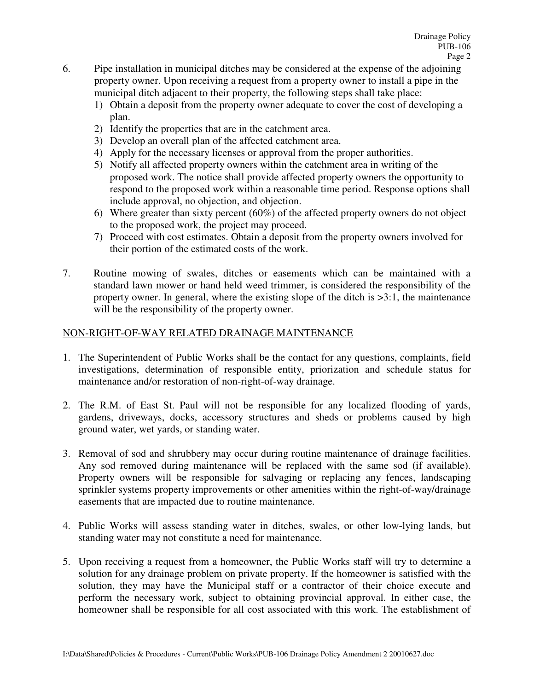- 6. Pipe installation in municipal ditches may be considered at the expense of the adjoining property owner. Upon receiving a request from a property owner to install a pipe in the municipal ditch adjacent to their property, the following steps shall take place:
	- 1) Obtain a deposit from the property owner adequate to cover the cost of developing a plan.
	- 2) Identify the properties that are in the catchment area.
	- 3) Develop an overall plan of the affected catchment area.
	- 4) Apply for the necessary licenses or approval from the proper authorities.
	- 5) Notify all affected property owners within the catchment area in writing of the proposed work. The notice shall provide affected property owners the opportunity to respond to the proposed work within a reasonable time period. Response options shall include approval, no objection, and objection.
	- 6) Where greater than sixty percent (60%) of the affected property owners do not object to the proposed work, the project may proceed.
	- 7) Proceed with cost estimates. Obtain a deposit from the property owners involved for their portion of the estimated costs of the work.
- 7. Routine mowing of swales, ditches or easements which can be maintained with a standard lawn mower or hand held weed trimmer, is considered the responsibility of the property owner. In general, where the existing slope of the ditch is >3:1, the maintenance will be the responsibility of the property owner.

# NON-RIGHT-OF-WAY RELATED DRAINAGE MAINTENANCE

- 1. The Superintendent of Public Works shall be the contact for any questions, complaints, field investigations, determination of responsible entity, priorization and schedule status for maintenance and/or restoration of non-right-of-way drainage.
- 2. The R.M. of East St. Paul will not be responsible for any localized flooding of yards, gardens, driveways, docks, accessory structures and sheds or problems caused by high ground water, wet yards, or standing water.
- 3. Removal of sod and shrubbery may occur during routine maintenance of drainage facilities. Any sod removed during maintenance will be replaced with the same sod (if available). Property owners will be responsible for salvaging or replacing any fences, landscaping sprinkler systems property improvements or other amenities within the right-of-way/drainage easements that are impacted due to routine maintenance.
- 4. Public Works will assess standing water in ditches, swales, or other low-lying lands, but standing water may not constitute a need for maintenance.
- 5. Upon receiving a request from a homeowner, the Public Works staff will try to determine a solution for any drainage problem on private property. If the homeowner is satisfied with the solution, they may have the Municipal staff or a contractor of their choice execute and perform the necessary work, subject to obtaining provincial approval. In either case, the homeowner shall be responsible for all cost associated with this work. The establishment of